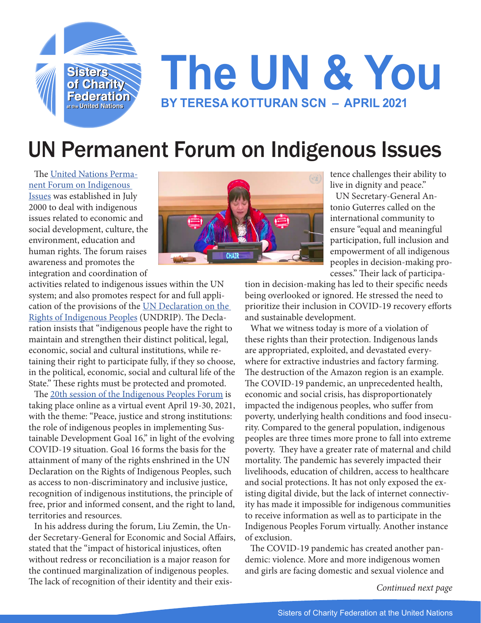

## **The UN & You BY TERESA KOTTURAN SCN – APRIL 2021**

## UN Permanent Forum on Indigenous Issues

The [United Nations Perma](https://www.un.org/development/desa/indigenouspeoples/)[nent Forum on Indigenous](https://www.un.org/development/desa/indigenouspeoples/)  [Issues](https://www.un.org/development/desa/indigenouspeoples/) was established in July 2000 to deal with indigenous issues related to economic and social development, culture, the environment, education and human rights. The forum raises awareness and promotes the integration and coordination of



tence challenges their ability to live in dignity and peace."

UN Secretary-General Antonio Guterres called on the international community to ensure "equal and meaningful participation, full inclusion and empowerment of all indigenous peoples in decision-making processes." Their lack of participa-

activities related to indigenous issues within the UN system; and also promotes respect for and full application of the provisions of the [UN Declaration on the](https://www.un.org/development/desa/indigenouspeoples/declaration-on-the-rights-of-indigenous-peoples.html)  [Rights of Indigenous Peoples](https://www.un.org/development/desa/indigenouspeoples/declaration-on-the-rights-of-indigenous-peoples.html) (UNDRIP). The Declaration insists that "indigenous people have the right to maintain and strengthen their distinct political, legal, economic, social and cultural institutions, while retaining their right to participate fully, if they so choose, in the political, economic, social and cultural life of the State." These rights must be protected and promoted.

The [20th session of the Indigenous Peoples Forum](https://www.un.org/development/desa/indigenouspeoples/news/2021/04/20th-session-of-the-permanent-forum-on-indigenous-issues-2021/) is taking place online as a virtual event April 19-30, 2021, with the theme: "Peace, justice and strong institutions: the role of indigenous peoples in implementing Sustainable Development Goal 16," in light of the evolving COVID-19 situation. Goal 16 forms the basis for the attainment of many of the rights enshrined in the UN Declaration on the Rights of Indigenous Peoples, such as access to non-discriminatory and inclusive justice, recognition of indigenous institutions, the principle of free, prior and informed consent, and the right to land, territories and resources.

In his address during the forum, Liu Zemin, the Under Secretary-General for Economic and Social Affairs, stated that the "impact of historical injustices, often without redress or reconciliation is a major reason for the continued marginalization of indigenous peoples. The lack of recognition of their identity and their exis-

tion in decision-making has led to their specific needs being overlooked or ignored. He stressed the need to prioritize their inclusion in COVID-19 recovery efforts and sustainable development.

What we witness today is more of a violation of these rights than their protection. Indigenous lands are appropriated, exploited, and devastated everywhere for extractive industries and factory farming. The destruction of the Amazon region is an example. The COVID-19 pandemic, an unprecedented health, economic and social crisis, has disproportionately impacted the indigenous peoples, who suffer from poverty, underlying health conditions and food insecurity. Compared to the general population, indigenous peoples are three times more prone to fall into extreme poverty. They have a greater rate of maternal and child mortality. The pandemic has severely impacted their livelihoods, education of children, access to healthcare and social protections. It has not only exposed the existing digital divide, but the lack of internet connectivity has made it impossible for indigenous communities to receive information as well as to participate in the Indigenous Peoples Forum virtually. Another instance of exclusion.

The COVID-19 pandemic has created another pandemic: violence. More and more indigenous women and girls are facing domestic and sexual violence and

*Continued next page*